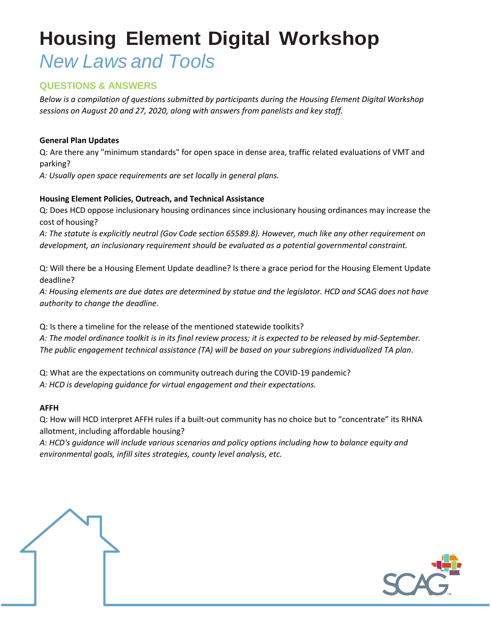## **QUESTIONS & ANSWERS**

*Below is a compilation of questions submitted by participants during the Housing Element Digital Workshop sessions on August 20 and 27, 2020, along with answers from panelists and key staff.* 

#### **General Plan Updates**

Q: Are there any "minimum standards" for open space in dense area, traffic related evaluations of VMT and parking?

*A: Usually open space requirements are set locally in general plans.* 

#### **Housing Element Policies, Outreach, and Technical Assistance**

Q: Does HCD oppose inclusionary housing ordinances since inclusionary housing ordinances may increase the cost of housing?

*A: The statute is explicitly neutral (Gov Code section 65589.8). However, much like any other requirement on development, an inclusionary requirement should be evaluated as a potential governmental constraint.* 

Q: Will there be a Housing Element Update deadline? Is there a grace period for the Housing Element Update deadline?

*A: Housing elements are due dates are determined by statue and the legislator. HCD and SCAG does not have authority to change the deadline.* 

Q: Is there a timeline for the release of the mentioned statewide toolkits? *A: The model ordinance toolkit is in its final review process; it is expected to be released by mid-September. The public engagement technical assistance (TA) will be based on your subregions individualized TA plan*.

Q: What are the expectations on community outreach during the COVID-19 pandemic? *A: HCD is developing guidance for virtual engagement and their expectations.* 

#### **AFFH**

Q: How will HCD interpret AFFH rules if a built-out community has no choice but to "concentrate" its RHNA allotment, including affordable housing?

*A: HCD's guidance will include various scenarios and policy options including how to balance equity and environmental goals, infill sites strategies, county level analysis, etc.*

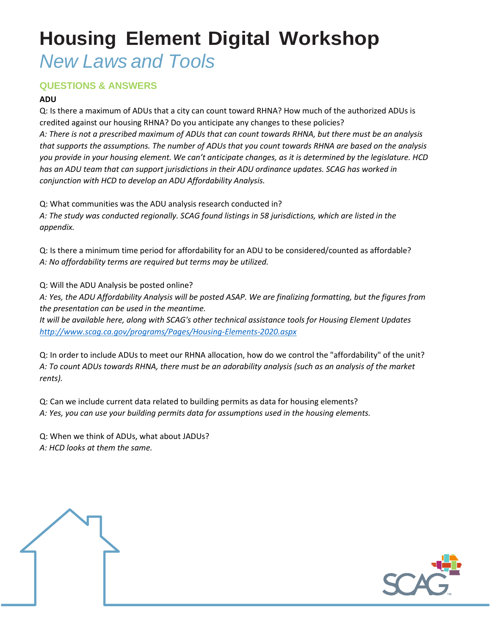# **QUESTIONS & ANSWERS**

### **ADU**

Q: Is there a maximum of ADUs that a city can count toward RHNA? How much of the authorized ADUs is credited against our housing RHNA? Do you anticipate any changes to these policies? *A: There is not a prescribed maximum of ADUs that can count towards RHNA, but there must be an analysis that supports the assumptions. The number of ADUs that you count towards RHNA are based on the analysis you provide in your housing element. We can't anticipate changes, as it is determined by the legislature. HCD has an ADU team that can support jurisdictions in their ADU ordinance updates. SCAG has worked in conjunction with HCD to develop an ADU Affordability Analysis.*

Q: What communities was the ADU analysis research conducted in? *A: The study was conducted regionally. SCAG found listings in 58 jurisdictions, which are listed in the appendix.*

Q: Is there a minimum time period for affordability for an ADU to be considered/counted as affordable? *A: No affordability terms are required but terms may be utilized.*

Q: Will the ADU Analysis be posted online?

*A: Yes, the ADU Affordability Analysis will be posted ASAP. We are finalizing formatting, but the figures from the presentation can be used in the meantime.* 

*It will be available here, along with SCAG's other technical assistance tools for Housing Element Updates <http://www.scag.ca.gov/programs/Pages/Housing-Elements-2020.aspx>*

Q: In order to include ADUs to meet our RHNA allocation, how do we control the "affordability" of the unit? *A: To count ADUs towards RHNA, there must be an adorability analysis (such as an analysis of the market rents).*

Q: Can we include current data related to building permits as data for housing elements? *A: Yes, you can use your building permits data for assumptions used in the housing elements.*

Q: When we think of ADUs, what about JADUs?

*A: HCD looks at them the same.*



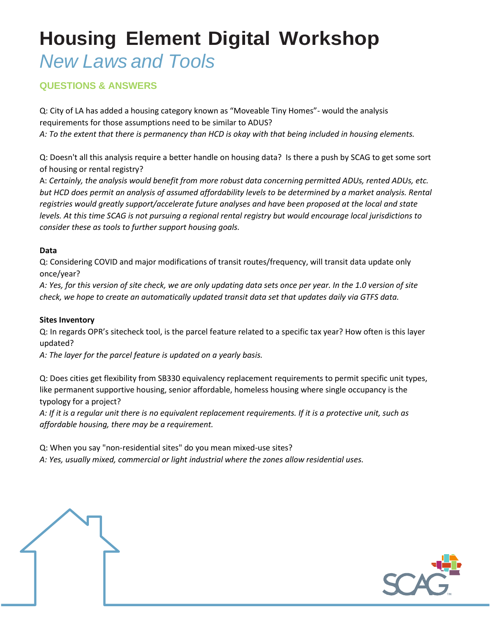# **Housing Element Digital Workshop**

# *New Laws and Tools*

# **QUESTIONS & ANSWERS**

Q: City of LA has added a housing category known as "Moveable Tiny Homes"- would the analysis requirements for those assumptions need to be similar to ADUS? *A: To the extent that there is permanency than HCD is okay with that being included in housing elements.* 

Q: Doesn't all this analysis require a better handle on housing data? Is there a push by SCAG to get some sort of housing or rental registry?

A: *Certainly, the analysis would benefit from more robust data concerning permitted ADUs, rented ADUs, etc.*  but HCD does permit an analysis of assumed affordability levels to be determined by a market analysis. Rental *registries would greatly support/accelerate future analyses and have been proposed at the local and state levels. At this time SCAG is not pursuing a regional rental registry but would encourage local jurisdictions to consider these as tools to further support housing goals.* 

### **Data**

Q: Considering COVID and major modifications of transit routes/frequency, will transit data update only once/year?

*A: Yes, for this version of site check, we are only updating data sets once per year. In the 1.0 version of site check, we hope to create an automatically updated transit data set that updates daily via GTFS data.*

#### **Sites Inventory**

Q: In regards OPR's sitecheck tool, is the parcel feature related to a specific tax year? How often is this layer updated?

*A: The layer for the parcel feature is updated on a yearly basis.* 

Q: Does cities get flexibility from SB330 equivalency replacement requirements to permit specific unit types, like permanent supportive housing, senior affordable, homeless housing where single occupancy is the typology for a project?

*A: If it is a regular unit there is no equivalent replacement requirements. If it is a protective unit, such as affordable housing, there may be a requirement.*

Q: When you say "non-residential sites" do you mean mixed-use sites?

*A: Yes, usually mixed, commercial or light industrial where the zones allow residential uses.*

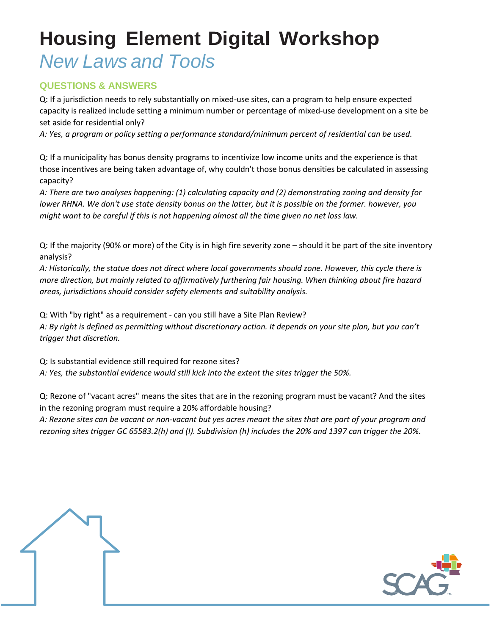## **QUESTIONS & ANSWERS**

Q: If a jurisdiction needs to rely substantially on mixed-use sites, can a program to help ensure expected capacity is realized include setting a minimum number or percentage of mixed-use development on a site be set aside for residential only?

*A: Yes, a program or policy setting a performance standard/minimum percent of residential can be used.*

Q: If a municipality has bonus density programs to incentivize low income units and the experience is that those incentives are being taken advantage of, why couldn't those bonus densities be calculated in assessing capacity?

*A: There are two analyses happening: (1) calculating capacity and (2) demonstrating zoning and density for lower RHNA. We don't use state density bonus on the latter, but it is possible on the former. however, you might want to be careful if this is not happening almost all the time given no net loss law.* 

Q: If the majority (90% or more) of the City is in high fire severity zone – should it be part of the site inventory analysis?

*A: Historically, the statue does not direct where local governments should zone. However, this cycle there is more direction, but mainly related to affirmatively furthering fair housing. When thinking about fire hazard areas, jurisdictions should consider safety elements and suitability analysis.* 

Q: With "by right" as a requirement - can you still have a Site Plan Review? *A: By right is defined as permitting without discretionary action. It depends on your site plan, but you can't trigger that discretion.*

Q: Is substantial evidence still required for rezone sites?

*A: Yes, the substantial evidence would still kick into the extent the sites trigger the 50%.*

Q: Rezone of "vacant acres" means the sites that are in the rezoning program must be vacant? And the sites in the rezoning program must require a 20% affordable housing?

*A: Rezone sites can be vacant or non-vacant but yes acres meant the sites that are part of your program and rezoning sites trigger GC 65583.2(h) and (I). Subdivision (h) includes the 20% and 1397 can trigger the 20%.*